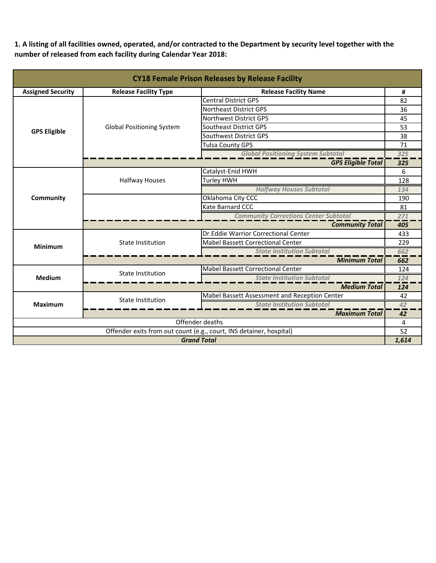1. A listing of all facilities owned, operated, and/or contracted to the Department by security level together with the **number of released from each facility during Calendar Year 2018:**

| <b>CY18 Female Prison Releases by Release Facility</b>              |                                  |                                               |       |  |
|---------------------------------------------------------------------|----------------------------------|-----------------------------------------------|-------|--|
| <b>Assigned Security</b>                                            | <b>Release Facility Type</b>     | <b>Release Facility Name</b>                  |       |  |
|                                                                     |                                  | <b>Central District GPS</b>                   | 82    |  |
|                                                                     |                                  | Northeast District GPS                        | 36    |  |
|                                                                     |                                  | Northwest District GPS                        | 45    |  |
| <b>GPS Eligible</b>                                                 | <b>Global Positioning System</b> | <b>Southeast District GPS</b>                 | 53    |  |
|                                                                     |                                  | Southwest District GPS                        | 38    |  |
|                                                                     |                                  | <b>Tulsa County GPS</b>                       | 71    |  |
|                                                                     |                                  | <b>Global Positioning System Subtotal</b>     | 325   |  |
|                                                                     |                                  | <b>GPS Eligible Total</b>                     | 325   |  |
|                                                                     |                                  | Catalyst-Enid HWH                             | 6     |  |
|                                                                     | <b>Halfway Houses</b>            | Turley HWH                                    | 128   |  |
|                                                                     |                                  | <b>Halfway Houses Subtotal</b>                | 134   |  |
| Community                                                           |                                  | Oklahoma City CCC                             | 190   |  |
|                                                                     |                                  | Kate Barnard CCC                              | 81    |  |
|                                                                     |                                  | <b>Community Corrections Center Subtotal</b>  | 271   |  |
|                                                                     |                                  | <b>Community Total</b>                        | 405   |  |
|                                                                     | <b>State Institution</b>         | Dr.Eddie Warrior Correctional Center          | 433   |  |
| <b>Minimum</b>                                                      |                                  | <b>Mabel Bassett Correctional Center</b>      | 229   |  |
|                                                                     |                                  | <b>State Institution Subtotal</b>             | 662   |  |
|                                                                     |                                  | <b>Minimum Total</b>                          | 662   |  |
|                                                                     | <b>State Institution</b>         | <b>Mabel Bassett Correctional Center</b>      | 124   |  |
| <b>Medium</b>                                                       |                                  | <b>State Institution Subtotal</b>             | 124   |  |
|                                                                     |                                  | <b>Medium Total</b>                           | 124   |  |
| <b>Maximum</b>                                                      | <b>State Institution</b>         | Mabel Bassett Assessment and Reception Center | 42    |  |
|                                                                     |                                  | <b>State Institution Subtotal</b>             | 42    |  |
|                                                                     | <b>Maximum Total</b>             |                                               | 42    |  |
| Offender deaths                                                     |                                  |                                               | 4     |  |
| Offender exits from out count (e.g., court, INS detainer, hospital) |                                  |                                               | 52    |  |
| <b>Grand Total</b>                                                  |                                  |                                               | 1,614 |  |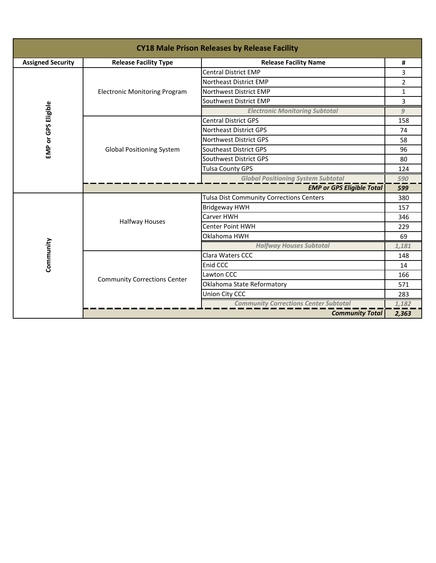| <b>CY18 Male Prison Releases by Release Facility</b> |                                                              |                                                 |                |  |
|------------------------------------------------------|--------------------------------------------------------------|-------------------------------------------------|----------------|--|
| <b>Assigned Security</b>                             | <b>Release Facility Type</b><br><b>Release Facility Name</b> |                                                 | #              |  |
|                                                      |                                                              | <b>Central District EMP</b>                     | 3              |  |
|                                                      |                                                              | Northeast District EMP                          | $\overline{2}$ |  |
|                                                      | <b>Electronic Monitoring Program</b>                         | Northwest District EMP                          | $\mathbf{1}$   |  |
|                                                      |                                                              | Southwest District EMP                          | 3              |  |
| EMP or GPS Eligible                                  |                                                              | <b>Electronic Monitoring Subtotal</b>           | 9              |  |
|                                                      |                                                              | <b>Central District GPS</b>                     | 158            |  |
|                                                      |                                                              | <b>Northeast District GPS</b>                   | 74             |  |
|                                                      |                                                              | Northwest District GPS                          | 58             |  |
|                                                      | <b>Global Positioning System</b>                             | Southeast District GPS                          | 96             |  |
|                                                      |                                                              | Southwest District GPS                          | 80             |  |
|                                                      |                                                              | <b>Tulsa County GPS</b>                         | 124            |  |
|                                                      | <b>Global Positioning System Subtotal</b>                    |                                                 | 590            |  |
|                                                      | <b>EMP or GPS Eligible Total</b>                             |                                                 |                |  |
|                                                      |                                                              | <b>Tulsa Dist Community Corrections Centers</b> | 380            |  |
|                                                      | <b>Halfway Houses</b>                                        | <b>Bridgeway HWH</b>                            | 157            |  |
|                                                      |                                                              | Carver HWH                                      | 346            |  |
|                                                      |                                                              | <b>Center Point HWH</b>                         | 229            |  |
|                                                      |                                                              | Oklahoma HWH                                    | 69             |  |
|                                                      |                                                              | <b>Halfway Houses Subtotal</b>                  | 1,181          |  |
|                                                      | <b>Community Corrections Center</b>                          | Clara Waters CCC                                | 148            |  |
| Community                                            |                                                              | Enid CCC                                        | 14             |  |
|                                                      |                                                              | Lawton CCC                                      | 166            |  |
|                                                      |                                                              | Oklahoma State Reformatory                      | 571            |  |
|                                                      |                                                              | Union City CCC                                  | 283            |  |
|                                                      |                                                              | <b>Community Corrections Center Subtotal</b>    | 1,182          |  |
|                                                      |                                                              | <b>Community Total</b>                          | 2,363          |  |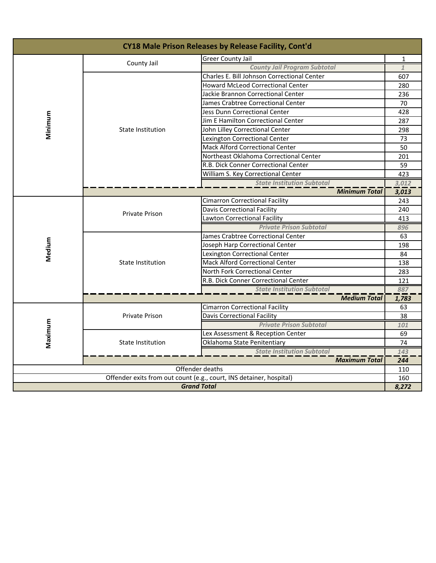| CY18 Male Prison Releases by Release Facility, Cont'd               |                                   |                                             |                  |  |
|---------------------------------------------------------------------|-----------------------------------|---------------------------------------------|------------------|--|
|                                                                     | County Jail                       | <b>Greer County Jail</b>                    | $\mathbf{1}$     |  |
|                                                                     |                                   | <b>County Jail Program Subtotal</b>         | $\mathbf{1}$     |  |
|                                                                     |                                   | Charles E. Bill Johnson Correctional Center | 607              |  |
|                                                                     |                                   | <b>Howard McLeod Correctional Center</b>    | 280              |  |
|                                                                     |                                   | Jackie Brannon Correctional Center          | 236              |  |
|                                                                     |                                   | James Crabtree Correctional Center          | 70               |  |
|                                                                     |                                   | Jess Dunn Correctional Center               | 428              |  |
|                                                                     |                                   | Jim E Hamilton Correctional Center          | 287              |  |
| Minimum                                                             | <b>State Institution</b>          | John Lilley Correctional Center             | 298              |  |
|                                                                     |                                   | Lexington Correctional Center               | 73               |  |
|                                                                     |                                   | <b>Mack Alford Correctional Center</b>      | 50               |  |
|                                                                     |                                   | Northeast Oklahoma Correctional Center      | 201              |  |
|                                                                     |                                   | R.B. Dick Conner Correctional Center        | 59               |  |
|                                                                     |                                   | William S. Key Correctional Center          | 423              |  |
|                                                                     |                                   | <b>State Institution Subtotal</b>           | 3,012            |  |
|                                                                     | <b>Minimum Total</b>              |                                             |                  |  |
|                                                                     | <b>Private Prison</b>             | <b>Cimarron Correctional Facility</b>       | 243              |  |
|                                                                     |                                   | Davis Correctional Facility                 | 240              |  |
|                                                                     |                                   | Lawton Correctional Facility                | 413              |  |
|                                                                     |                                   | <b>Private Prison Subtotal</b>              | 896              |  |
|                                                                     | State Institution                 | James Crabtree Correctional Center          | 63               |  |
| Medium                                                              |                                   | Joseph Harp Correctional Center             | 198              |  |
|                                                                     |                                   | Lexington Correctional Center               | 84               |  |
|                                                                     |                                   | <b>Mack Alford Correctional Center</b>      | 138              |  |
|                                                                     |                                   | North Fork Correctional Center              | 283              |  |
|                                                                     |                                   | R.B. Dick Conner Correctional Center        | 121              |  |
|                                                                     |                                   | <b>State Institution Subtotal</b>           | 887              |  |
|                                                                     |                                   | <b>Medium Total</b>                         | 1,783            |  |
|                                                                     | <b>Private Prison</b>             | <b>Cimarron Correctional Facility</b>       | 63               |  |
|                                                                     |                                   | <b>Davis Correctional Facility</b>          | 38               |  |
| Maximum                                                             |                                   | <b>Private Prison Subtotal</b>              | 101              |  |
|                                                                     | <b>State Institution</b>          | Lex Assessment & Reception Center           | 69               |  |
|                                                                     |                                   | Oklahoma State Penitentiary                 | 74               |  |
|                                                                     | <b>State Institution Subtotal</b> |                                             | 143              |  |
| <b>Maximum Total</b>                                                |                                   |                                             | $\overline{244}$ |  |
| Offender deaths                                                     |                                   |                                             | 110              |  |
| Offender exits from out count (e.g., court, INS detainer, hospital) |                                   |                                             | 160<br>8,272     |  |
| <b>Grand Total</b>                                                  |                                   |                                             |                  |  |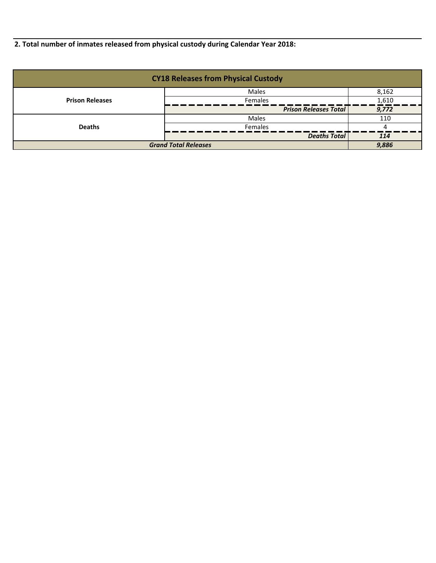**2. Total number of inmates released from physical custody during Calendar Year 2018:**

| <b>CY18 Releases from Physical Custody</b> |                              |       |  |
|--------------------------------------------|------------------------------|-------|--|
|                                            | <b>Males</b>                 | 8,162 |  |
| <b>Prison Releases</b>                     | Females                      | 1,610 |  |
|                                            | <b>Prison Releases Total</b> | 9,772 |  |
|                                            | Males                        | 110   |  |
| <b>Deaths</b>                              | <b>Females</b>               |       |  |
|                                            | <b>Deaths Total</b>          | 114   |  |
| <b>Grand Total Releases</b>                |                              | 9,886 |  |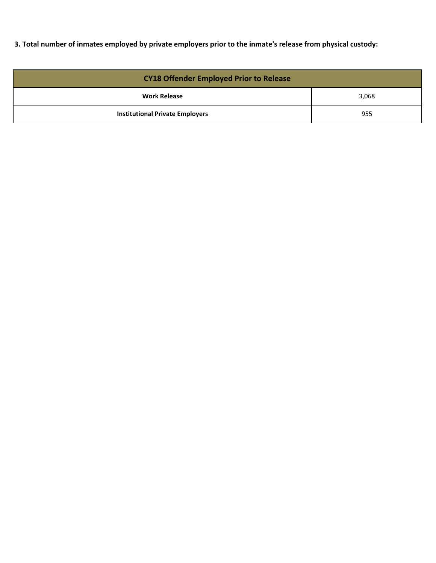3. Total number of inmates employed by private employers prior to the inmate's release from physical custody:

| <b>CY18 Offender Employed Prior to Release</b> |       |  |
|------------------------------------------------|-------|--|
| <b>Work Release</b>                            | 3,068 |  |
| <b>Institutional Private Employers</b>         | 955   |  |